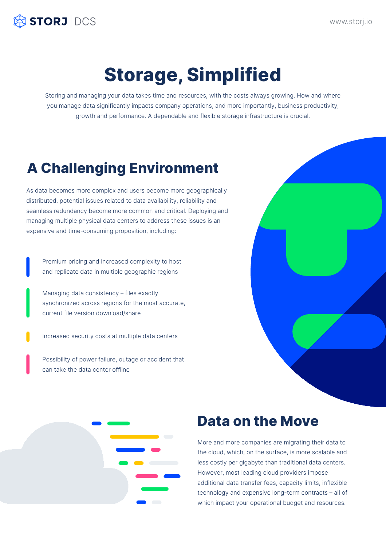## **Storage, Simplified**

Storing and managing your data takes time and resources, with the costs always growing. How and where you manage data significantly impacts company operations, and more importantly, business productivity, growth and performance. A dependable and flexible storage infrastructure is crucial.

As data becomes more complex and users become more geographically distributed, potential issues related to data availability, reliability and

seamless redundancy become more common and critical. Deploying and managing multiple physical data centers to address these issues is an expensive and time-consuming proposition, including:

## **A Challenging Environment**

Premium pricing and increased complexity to host and replicate data in multiple geographic regions

Managing data consistency – files exactly synchronized across regions for the most accurate, current file version download/share

Increased security costs at multiple data centers

Possibility of power failure, outage or accident that can take the data center offline



www.storj.io



More and more companies are migrating their data to the cloud, which, on the surface, is more scalable and less costly per gigabyte than traditional data centers. However, most leading cloud providers impose additional data transfer fees, capacity limits, inflexible technology and expensive long-term contracts – all of which impact your operational budget and resources.



### **Data on the Move**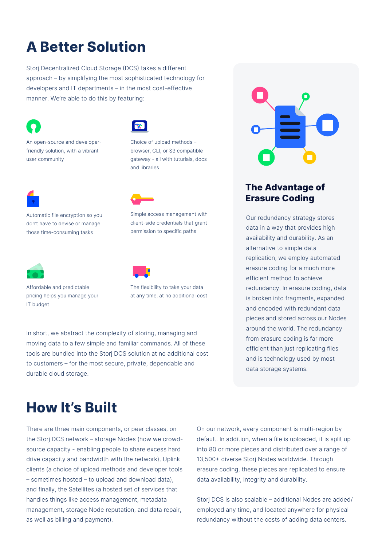Storj Decentralized Cloud Storage (DCS) takes a different approach – by simplifying the most sophisticated technology for developers and IT departments – in the most cost-effective manner. We're able to do this by featuring:



There are three main components, or peer classes, on the Storj DCS network – storage Nodes (how we crowdsource capacity - enabling people to share excess hard drive capacity and bandwidth with the network), Uplink clients (a choice of upload methods and developer tools – sometimes hosted – to upload and download data), and finally, the Satellites (a hosted set of services that handles things like access management, metadata management, storage Node reputation, and data repair, as well as billing and payment).

In short, we abstract the complexity of storing, managing and moving data to a few simple and familiar commands. All of these tools are bundled into the Storj DCS solution at no additional cost to customers – for the most secure, private, dependable and durable cloud storage.

> On our network, every component is multi-region by default. In addition, when a file is uploaded, it is split up into 80 or more pieces and distributed over a range of 13,500+ diverse Storj Nodes worldwide. Through erasure coding, these pieces are replicated to ensure data availability, integrity and durability.

> Storj DCS is also scalable – additional Nodes are added/ employed any time, and located anywhere for physical redundancy without the costs of adding data centers.

## **A Better Solution**

#### **How It's Built**

An open-source and developerfriendly solution, with a vibrant user community



Choice of upload methods – browser, CLI, or S3 compatible gateway - all with tuturials, docs and libraries





### Automatic file encryption so you

don't have to devise or manage those time-consuming tasks

Simple access management with client-side credentials that grant permission to specific paths

Affordable and predictable pricing helps you manage your IT budget

The flexibility to take your data at any time, at no additional cost

#### Our redundancy strategy stores data in a way that provides high availability and durability. As an alternative to simple data replication, we employ automated erasure coding for a much more efficient method to achieve redundancy. In erasure coding, data is broken into fragments, expanded and encoded with redundant data pieces and stored across our Nodes around the world. The redundancy from erasure coding is far more efficient than just replicating files and is technology used by most data storage systems.

**The Advantage of Erasure Coding**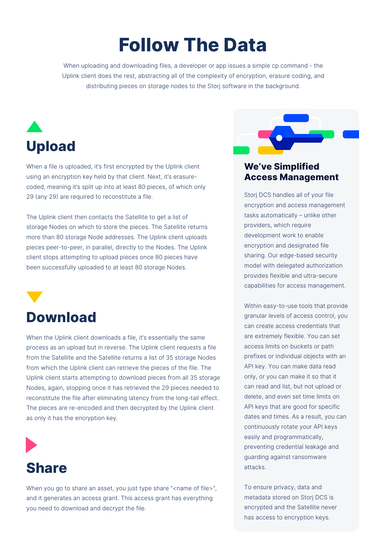When uploading and downloading files, a developer or app issues a simple cp command - the Uplink client does the rest, abstracting all of the complexity of encryption, erasure coding, and distributing pieces on storage nodes to the Storj software in the background.

## **Follow The Data**

When a file is uploaded, it's first encrypted by the Uplink client using an encryption key held by that client. Next, it's erasurecoded, meaning it's split up into at least 80 pieces, of which only 29 (any 29) are required to reconstitute a file.



When you go to share an asset, you just type share "<name of file>", and it generates an access grant. This access grant has everything you need to download and decrypt the file.

The Uplink client then contacts the Satellite to get a list of storage Nodes on which to store the pieces. The Satellite returns more than 80 storage Node addresses. The Uplink client uploads pieces peer-to-peer, in parallel, directly to the Nodes. The Uplink client stops attempting to upload pieces once 80 pieces have been successfully uploaded to at least 80 storage Nodes.

When the Uplink client downloads a file, it's essentially the same process as an upload but in reverse. The Uplink client requests a file from the Satellite and the Satellite returns a list of 35 storage Nodes from which the Uplink client can retrieve the pieces of the file. The Uplink client starts attempting to download pieces from all 35 storage Nodes, again, stopping once it has retrieved the 29 pieces needed to reconstitute the file after eliminating latency from the long-tail effect. The pieces are re-encoded and then decrypted by the Uplink client



#### **Share**

as only it has the encryption key.



# **Download**

Storj DCS handles all of your file encryption and access management tasks automatically – unlike other providers, which require development work to enable encryption and designated file sharing. Our edge-based security model with delegated authorization provides flexible and ultra-secure capabilities for access management.

Within easy-to-use tools that provide granular levels of access control, you can create access credentials that are extremely flexible. You can set access limits on buckets or path prefixes or individual objects with an API key. You can make data read only, or you can make it so that it can read and list, but not upload or delete, and even set time limits on API keys that are good for specific

dates and times. As a result, you can continuously rotate your API keys easily and programmatically, preventing credential leakage and guarding against ransomware attacks.

To ensure privacy, data and metadata stored on Storj DCS is encrypted and the Satellite never has access to encryption keys.

#### **We've Simplified Access Management**